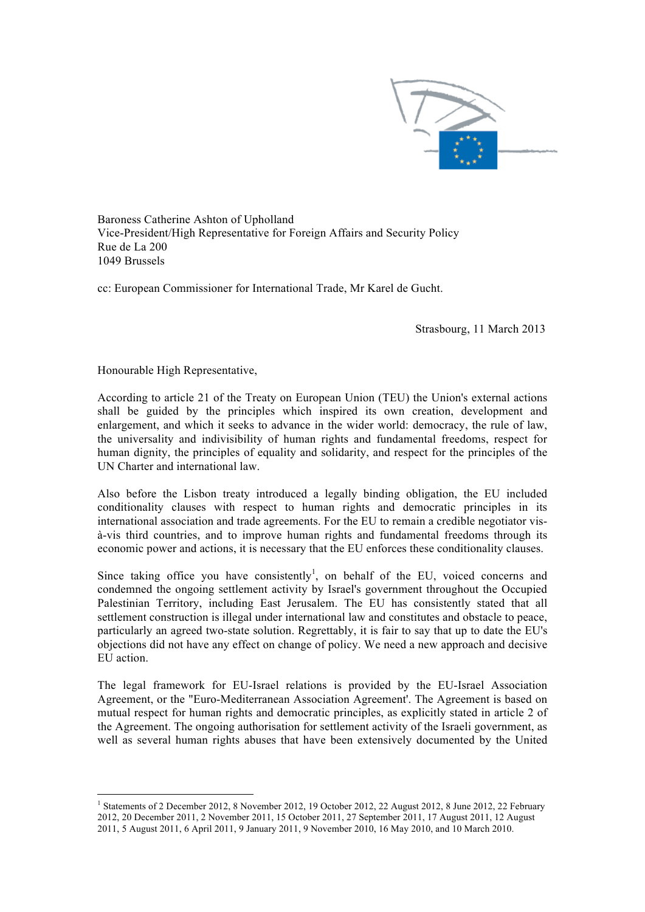

Baroness Catherine Ashton of Upholland Vice-President/High Representative for Foreign Affairs and Security Policy Rue de La 200 1049 Brussels

cc: European Commissioner for International Trade, Mr Karel de Gucht.

Strasbourg, 11 March 2013

Honourable High Representative,

According to article 21 of the Treaty on European Union (TEU) the Union's external actions shall be guided by the principles which inspired its own creation, development and enlargement, and which it seeks to advance in the wider world: democracy, the rule of law, the universality and indivisibility of human rights and fundamental freedoms, respect for human dignity, the principles of equality and solidarity, and respect for the principles of the UN Charter and international law.

Also before the Lisbon treaty introduced a legally binding obligation, the EU included conditionality clauses with respect to human rights and democratic principles in its international association and trade agreements. For the EU to remain a credible negotiator visà-vis third countries, and to improve human rights and fundamental freedoms through its economic power and actions, it is necessary that the EU enforces these conditionality clauses.

Since taking office you have consistently<sup>1</sup>, on behalf of the EU, voiced concerns and condemned the ongoing settlement activity by Israel's government throughout the Occupied Palestinian Territory, including East Jerusalem. The EU has consistently stated that all settlement construction is illegal under international law and constitutes and obstacle to peace, particularly an agreed two-state solution. Regrettably, it is fair to say that up to date the EU's objections did not have any effect on change of policy. We need a new approach and decisive EU action.

The legal framework for EU-Israel relations is provided by the EU-Israel Association Agreement, or the "Euro-Mediterranean Association Agreement'. The Agreement is based on mutual respect for human rights and democratic principles, as explicitly stated in article 2 of the Agreement. The ongoing authorisation for settlement activity of the Israeli government, as well as several human rights abuses that have been extensively documented by the United

 $\frac{1}{1}$ <sup>1</sup> Statements of 2 December 2012, 8 November 2012, 19 October 2012, 22 August 2012, 8 June 2012, 22 February 2012, 20 December 2011, 2 November 2011, 15 October 2011, 27 September 2011, 17 August 2011, 12 August 2011, 5 August 2011, 6 April 2011, 9 January 2011, 9 November 2010, 16 May 2010, and 10 March 2010.